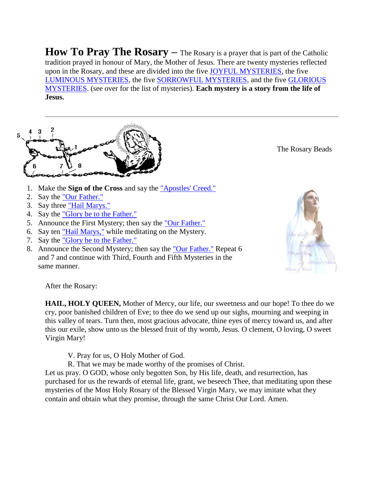How To Pray The Rosary – The Rosary is a prayer that is part of the Catholic tradition prayed in honour of Mary, the Mother of Jesus. There are twenty mysteries reflected upon in the Rosary, and these are divided into the five [JOYFUL MYSTERIES,](http://www.rosary-center.org/joyful.htm) the five [LUMINOUS MYSTERIES,](http://www.rosary-center.org/luminous.htm) the five [SORROWFUL MYSTERIES,](http://www.rosary-center.org/sorrow.htm) and the five [GLORIOUS](http://www.rosary-center.org/glorious.htm)  [MYSTERIES.](http://www.rosary-center.org/glorious.htm) (see over for the list of mysteries). **Each mystery is a story from the life of Jesus.**



The Rosary Beads

- 1. Make the **Sign of the Cross** and say the ["Apostles' Creed."](javascript:ShowInfo()
- 2. Say the ["Our Father."](javascript:ShowInfo()
- 3. Say three ["Hail Marys."](javascript:ShowInfo()
- 4. Say the ["Glory be to the Father."](javascript:ShowInfo()
- 5. Announce the First Mystery; then say the ["Our Father."](javascript:ShowInfo()
- 6. Say ten ["Hail Marys,"](javascript:ShowInfo() while meditating on the Mystery.
- 7. Say the ["Glory be to the Father."](javascript:ShowInfo()
- 8. Announce the Second Mystery; then say the ["Our Father."](javascript:ShowInfo() Repeat 6 and 7 and continue with Third, Fourth and Fifth Mysteries in the same manner.



After the Rosary:

**HAIL, HOLY QUEEN,** Mother of Mercy, our life, our sweetness and our hope! To thee do we cry, poor banished children of Eve; to thee do we send up our sighs, mourning and weeping in this valley of tears. Turn then, most gracious advocate, thine eyes of mercy toward us, and after this our exile, show unto us the blessed fruit of thy womb, Jesus. O clement, O loving, O sweet Virgin Mary!

V. Pray for us, O Holy Mother of God.

R. That we may be made worthy of the promises of Christ.

Let us pray. O GOD, whose only begotten Son, by His life, death, and resurrection, has purchased for us the rewards of eternal life, grant, we beseech Thee, that meditating upon these mysteries of the Most Holy Rosary of the Blessed Virgin Mary, we may imitate what they contain and obtain what they promise, through the same Christ Our Lord. Amen.